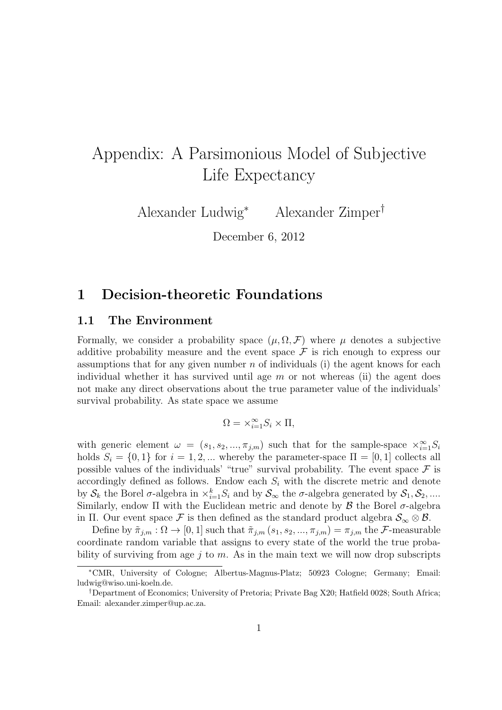# Appendix: A Parsimonious Model of Subjective Life Expectancy

Alexander Ludwig*<sup>∗</sup>* Alexander Zimper*†*

December 6, 2012

### **1 Decision-theoretic Foundations**

#### **1.1 The Environment**

Formally, we consider a probability space  $(\mu, \Omega, \mathcal{F})$  where  $\mu$  denotes a subjective additive probability measure and the event space  $\mathcal F$  is rich enough to express our assumptions that for any given number *n* of individuals (i) the agent knows for each individual whether it has survived until age *m* or not whereas (ii) the agent does not make any direct observations about the true parameter value of the individuals' survival probability. As state space we assume

$$
\Omega = \times_{i=1}^{\infty} S_i \times \Pi,
$$

with generic element  $\omega = (s_1, s_2, ..., \pi_{j,m})$  such that for the sample-space  $\times_{i=1}^{\infty} S_i$ holds  $S_i = \{0, 1\}$  for  $i = 1, 2, ...$  whereby the parameter-space  $\Pi = [0, 1]$  collects all possible values of the individuals' "true" survival probability. The event space  $\mathcal F$  is accordingly defined as follows. Endow each *S<sup>i</sup>* with the discrete metric and denote by  $S_k$  the Borel  $\sigma$ -algebra in  $\times_{i=1}^k S_i$  and by  $S_\infty$  the  $\sigma$ -algebra generated by  $S_1, S_2, ....$ Similarly, endow  $\Pi$  with the Euclidean metric and denote by  $\beta$  the Borel  $\sigma$ -algebra in Π. Our event space F is then defined as the standard product algebra  $\mathcal{S}_{\infty} \otimes \mathcal{B}$ .

Define by  $\tilde{\pi}_{j,m}: \Omega \to [0,1]$  such that  $\tilde{\pi}_{j,m}(s_1, s_2, ..., \pi_{j,m}) = \pi_{j,m}$  the *F*-measurable coordinate random variable that assigns to every state of the world the true probability of surviving from age *j* to *m*. As in the main text we will now drop subscripts

*<sup>∗</sup>*CMR, University of Cologne; Albertus-Magnus-Platz; 50923 Cologne; Germany; Email: ludwig@wiso.uni-koeln.de.

*<sup>†</sup>*Department of Economics; University of Pretoria; Private Bag X20; Hatfield 0028; South Africa; Email: alexander.zimper@up.ac.za.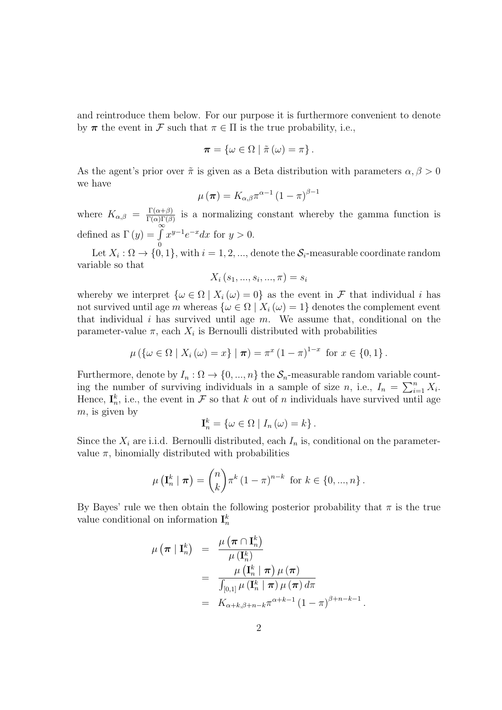and reintroduce them below. For our purpose it is furthermore convenient to denote by  $\pi$  the event in  $\mathcal F$  such that  $\pi \in \Pi$  is the true probability, i.e.,

$$
\boldsymbol{\pi} = \{ \omega \in \Omega \mid \tilde{\pi}(\omega) = \pi \}.
$$

As the agent's prior over  $\tilde{\pi}$  is given as a Beta distribution with parameters  $\alpha, \beta > 0$ we have

$$
\mu\left(\boldsymbol{\pi}\right)=K_{\alpha,\beta}\pi^{\alpha-1}\left(1-\pi\right)^{\beta-1}
$$

where  $K_{\alpha,\beta} = \frac{\Gamma(\alpha+\beta)}{\Gamma(\alpha)\Gamma(\beta)}$  $\frac{\Gamma(\alpha+\beta)}{\Gamma(\alpha)\Gamma(\beta)}$  is a normalizing constant whereby the gamma function is defined as  $\Gamma(y) = \int_0^\infty$ 0  $x^{y-1}e^{-x}dx$  for  $y > 0$ .

Let  $X_i: \Omega \to \{0,1\}$ , with  $i = 1, 2, ...,$  denote the  $S_i$ -measurable coordinate random variable so that

$$
X_i(s_1, ..., s_i, ..., \pi) = s_i
$$

whereby we interpret  $\{\omega \in \Omega \mid X_i(\omega) = 0\}$  as the event in *F* that individual *i* has not survived until age *m* whereas  $\{\omega \in \Omega \mid X_i(\omega) = 1\}$  denotes the complement event that individual *i* has survived until age *m*. We assume that, conditional on the parameter-value  $\pi$ , each  $X_i$  is Bernoulli distributed with probabilities

$$
\mu(\{\omega \in \Omega \mid X_i(\omega) = x\} \mid \boldsymbol{\pi}) = \pi^x (1 - \pi)^{1 - x} \text{ for } x \in \{0, 1\}.
$$

Furthermore, denote by  $I_n : \Omega \to \{0, ..., n\}$  the  $S_n$ -measurable random variable counting the number of surviving individuals in a sample of size *n*, i.e.,  $I_n = \sum_{i=1}^n X_i$ . Hence,  $\mathbf{I}_n^k$ , i.e., the event in  $\mathcal F$  so that  $k$  out of  $n$  individuals have survived until age *m*, is given by

$$
\mathbf{I}_{n}^{k} = \{ \omega \in \Omega \mid I_{n}(\omega) = k \}.
$$

Since the  $X_i$  are i.i.d. Bernoulli distributed, each  $I_n$  is, conditional on the parametervalue  $\pi$ , binomially distributed with probabilities

$$
\mu\left(\mathbf{I}_{n}^{k} \mid \boldsymbol{\pi}\right) = \binom{n}{k} \pi^{k} \left(1 - \pi\right)^{n-k} \text{ for } k \in \{0, ..., n\}.
$$

By Bayes' rule we then obtain the following posterior probability that  $\pi$  is the true value conditional on information  $I_n^k$ 

$$
\mu(\boldsymbol{\pi} | \mathbf{I}_{n}^{k}) = \frac{\mu(\boldsymbol{\pi} \cap \mathbf{I}_{n}^{k})}{\mu(\mathbf{I}_{n}^{k})}
$$
  
= 
$$
\frac{\mu(\mathbf{I}_{n}^{k} | \boldsymbol{\pi}) \mu(\boldsymbol{\pi})}{\int_{[0,1]} \mu(\mathbf{I}_{n}^{k} | \boldsymbol{\pi}) \mu(\boldsymbol{\pi}) d\pi}
$$
  
= 
$$
K_{\alpha+k,\beta+n-k} \pi^{\alpha+k-1} (1-\pi)^{\beta+n-k-1}
$$

.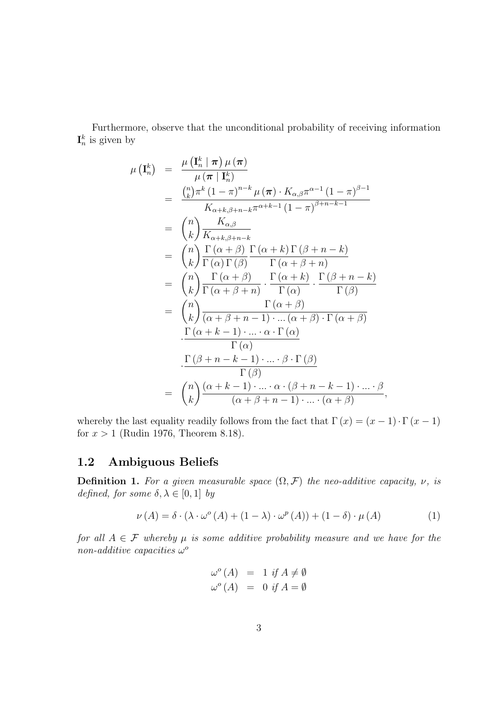Furthermore, observe that the unconditional probability of receiving information  $\mathbf{I}_n^k$  is given by

$$
\mu(\mathbf{I}_{n}^{k}) = \frac{\mu(\mathbf{I}_{n}^{k} | \boldsymbol{\pi}) \mu(\boldsymbol{\pi})}{\mu(\boldsymbol{\pi} | \mathbf{I}_{n}^{k})} \n= \frac{\binom{n}{k} \pi^{k} (1 - \pi)^{n-k} \mu(\boldsymbol{\pi}) \cdot K_{\alpha,\beta} \pi^{\alpha-1} (1 - \pi)^{\beta-1}}{K_{\alpha+k,\beta+n-k} \pi^{\alpha+k-1} (1 - \pi)^{\beta+n-k-1}} \n= \binom{n}{k} \frac{K_{\alpha,\beta}}{K_{\alpha+k,\beta+n-k}} \n= \binom{n}{k} \frac{\Gamma(\alpha+\beta)}{\Gamma(\alpha)\Gamma(\beta)} \frac{\Gamma(\alpha+k) \Gamma(\beta+n-k)}{\Gamma(\alpha+\beta+n)} \n= \binom{n}{k} \frac{\Gamma(\alpha+\beta)}{\Gamma(\alpha+\beta+n)} \cdot \frac{\Gamma(\alpha+k)}{\Gamma(\alpha)} \cdot \frac{\Gamma(\beta+n-k)}{\Gamma(\beta)} \n= \binom{n}{k} \frac{\Gamma(\alpha+\beta)}{(\alpha+\beta+n-1) \cdot \ldots (\alpha+\beta) \cdot \Gamma(\alpha+\beta)} \n\cdot \frac{\Gamma(\alpha+k-1) \cdot \ldots \cdot \alpha \cdot \Gamma(\alpha)}{\Gamma(\alpha)} \n= \binom{n}{k} \frac{\Gamma(\beta+n-k-1) \cdot \ldots \cdot \beta \cdot \Gamma(\beta)}{\Gamma(\beta)} \n= \binom{n}{k} \frac{(\alpha+k-1) \cdot \ldots \cdot \beta \cdot \Gamma(\beta)}{(\alpha+\beta+n-1) \cdot \ldots \cdot (\alpha+\beta)},
$$

whereby the last equality readily follows from the fact that  $\Gamma(x) = (x - 1) \cdot \Gamma(x - 1)$ for  $x > 1$  (Rudin 1976, Theorem 8.18).

### **1.2 Ambiguous Beliefs**

**Definition 1.** For a given measurable space  $(\Omega, \mathcal{F})$  the neo-additive capacity,  $\nu$ , is *defined, for some*  $\delta, \lambda \in [0, 1]$  *by* 

$$
\nu(A) = \delta \cdot (\lambda \cdot \omega^{\circ}(A) + (1 - \lambda) \cdot \omega^{\circ}(A)) + (1 - \delta) \cdot \mu(A)
$$
 (1)

*for all*  $A \in \mathcal{F}$  *whereby*  $\mu$  *is some additive probability measure and we have for the non-additive capacities ω o*

$$
\begin{array}{rcl}\n\omega^o(A) & = & 1 \text{ if } A \neq \emptyset \\
\omega^o(A) & = & 0 \text{ if } A = \emptyset\n\end{array}
$$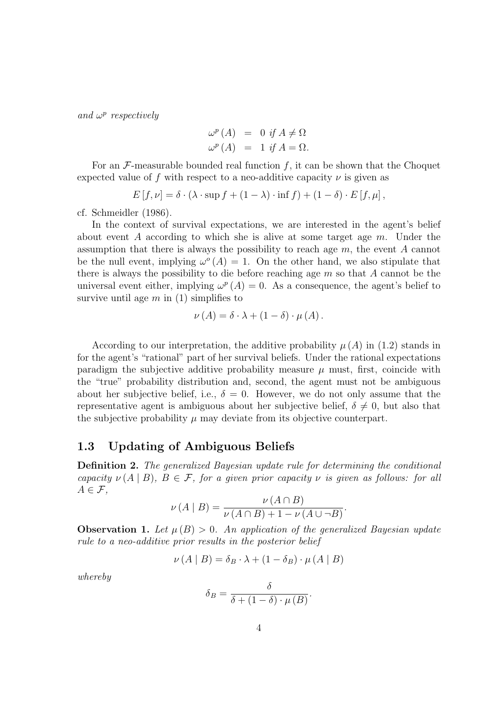*and ω p respectively*

$$
\omega^{p}(A) = 0 \text{ if } A \neq \Omega
$$
  

$$
\omega^{p}(A) = 1 \text{ if } A = \Omega.
$$

For an  $\mathcal{F}$ -measurable bounded real function  $f$ , it can be shown that the Choquet expected value of f with respect to a neo-additive capacity  $\nu$  is given as

$$
E[f,\nu] = \delta \cdot (\lambda \cdot \sup f + (1-\lambda) \cdot \inf f) + (1-\delta) \cdot E[f,\mu],
$$

cf. Schmeidler (1986).

In the context of survival expectations, we are interested in the agent's belief about event *A* according to which she is alive at some target age *m*. Under the assumption that there is always the possibility to reach age *m*, the event *A* cannot be the null event, implying  $\omega^{\circ}(A) = 1$ . On the other hand, we also stipulate that there is always the possibility to die before reaching age *m* so that *A* cannot be the universal event either, implying  $\omega^p(A) = 0$ . As a consequence, the agent's belief to survive until age *m* in (1) simplifies to

$$
\nu(A) = \delta \cdot \lambda + (1 - \delta) \cdot \mu(A).
$$

According to our interpretation, the additive probability  $\mu(A)$  in (1.2) stands in for the agent's "rational" part of her survival beliefs. Under the rational expectations paradigm the subjective additive probability measure  $\mu$  must, first, coincide with the "true" probability distribution and, second, the agent must not be ambiguous about her subjective belief, i.e.,  $\delta = 0$ . However, we do not only assume that the representative agent is ambiguous about her subjective belief,  $\delta \neq 0$ , but also that the subjective probability  $\mu$  may deviate from its objective counterpart.

#### **1.3 Updating of Ambiguous Beliefs**

**Definition 2.** *The generalized Bayesian update rule for determining the conditional capacity*  $\nu(A | B)$ ,  $B \in \mathcal{F}$ , for a given prior capacity  $\nu$  *is given as follows: for all A ∈ F,*

$$
\nu(A \mid B) = \frac{\nu(A \cap B)}{\nu(A \cap B) + 1 - \nu(A \cup \neg B)}.
$$

**Observation 1.** Let  $\mu(B) > 0$ . An application of the generalized Bayesian update *rule to a neo-additive prior results in the posterior belief*

$$
\nu(A \mid B) = \delta_B \cdot \lambda + (1 - \delta_B) \cdot \mu(A \mid B)
$$

*whereby*

$$
\delta_B = \frac{\delta}{\delta + (1 - \delta) \cdot \mu(B)}.
$$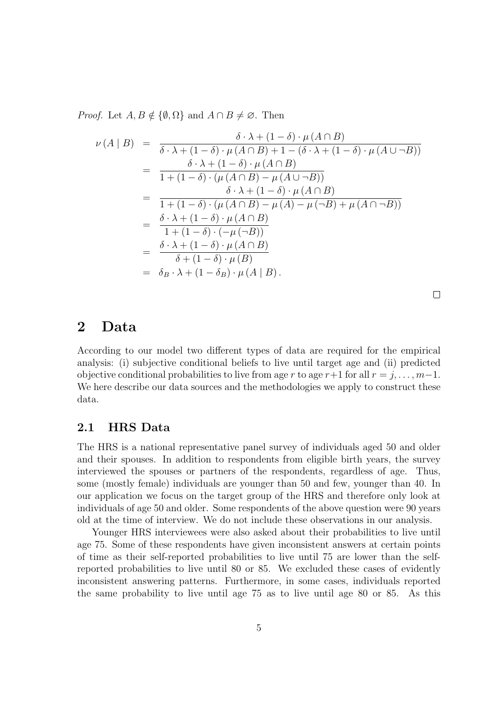*Proof.* Let  $A, B \notin \{ \emptyset, \Omega \}$  and  $A \cap B \neq \emptyset$ . Then

$$
\nu(A \mid B) = \frac{\delta \cdot \lambda + (1 - \delta) \cdot \mu(A \cap B)}{\delta \cdot \lambda + (1 - \delta) \cdot \mu(A \cap B) + 1 - (\delta \cdot \lambda + (1 - \delta) \cdot \mu(A \cup \neg B))}
$$
\n
$$
= \frac{\delta \cdot \lambda + (1 - \delta) \cdot \mu(A \cap B)}{1 + (1 - \delta) \cdot (\mu(A \cap B) - \mu(A \cup \neg B))}
$$
\n
$$
= \frac{\delta \cdot \lambda + (1 - \delta) \cdot \mu(A \cap B)}{1 + (1 - \delta) \cdot (\mu(A \cap B) - \mu(A) - \mu(\neg B) + \mu(A \cap \neg B))}
$$
\n
$$
= \frac{\delta \cdot \lambda + (1 - \delta) \cdot \mu(A \cap B)}{1 + (1 - \delta) \cdot (\mu(A \cap B))}
$$
\n
$$
= \frac{\delta \cdot \lambda + (1 - \delta) \cdot \mu(A \cap B)}{\delta + (1 - \delta) \cdot \mu(A \cap B)}
$$
\n
$$
= \frac{\delta \cdot \lambda + (1 - \delta) \cdot \mu(A \cap B)}{\delta + (1 - \delta) \cdot \mu(B)}
$$
\n
$$
= \delta_B \cdot \lambda + (1 - \delta_B) \cdot \mu(A \mid B).
$$

 $\Box$ 

### **2 Data**

According to our model two different types of data are required for the empirical analysis: (i) subjective conditional beliefs to live until target age and (ii) predicted objective conditional probabilities to live from age *r* to age  $r+1$  for all  $r = j, \ldots, m-1$ . We here describe our data sources and the methodologies we apply to construct these data.

#### **2.1 HRS Data**

The HRS is a national representative panel survey of individuals aged 50 and older and their spouses. In addition to respondents from eligible birth years, the survey interviewed the spouses or partners of the respondents, regardless of age. Thus, some (mostly female) individuals are younger than 50 and few, younger than 40. In our application we focus on the target group of the HRS and therefore only look at individuals of age 50 and older. Some respondents of the above question were 90 years old at the time of interview. We do not include these observations in our analysis.

Younger HRS interviewees were also asked about their probabilities to live until age 75. Some of these respondents have given inconsistent answers at certain points of time as their self-reported probabilities to live until 75 are lower than the selfreported probabilities to live until 80 or 85. We excluded these cases of evidently inconsistent answering patterns. Furthermore, in some cases, individuals reported the same probability to live until age 75 as to live until age 80 or 85. As this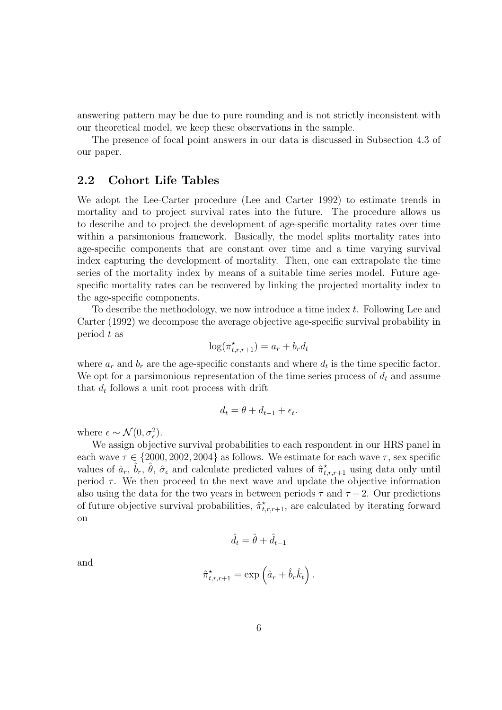answering pattern may be due to pure rounding and is not strictly inconsistent with our theoretical model, we keep these observations in the sample.

The presence of focal point answers in our data is discussed in Subsection 4.3 of our paper.

#### **2.2 Cohort Life Tables**

We adopt the Lee-Carter procedure (Lee and Carter 1992) to estimate trends in mortality and to project survival rates into the future. The procedure allows us to describe and to project the development of age-specific mortality rates over time within a parsimonious framework. Basically, the model splits mortality rates into age-specific components that are constant over time and a time varying survival index capturing the development of mortality. Then, one can extrapolate the time series of the mortality index by means of a suitable time series model. Future agespecific mortality rates can be recovered by linking the projected mortality index to the age-specific components.

To describe the methodology, we now introduce a time index *t*. Following Lee and Carter (1992) we decompose the average objective age-specific survival probability in period *t* as

$$
\log(\pi_{t,r,r+1}^{\star}) = a_r + b_r d_t
$$

where  $a_r$  and  $b_r$  are the age-specific constants and where  $d_t$  is the time specific factor. We opt for a parsimonious representation of the time series process of *d<sup>t</sup>* and assume that  $d_t$  follows a unit root process with drift

$$
d_t = \theta + d_{t-1} + \epsilon_t.
$$

where  $\epsilon \sim \mathcal{N}(0, \sigma_{\epsilon}^2)$ .

We assign objective survival probabilities to each respondent in our HRS panel in each wave  $\tau \in \{2000, 2002, 2004\}$  as follows. We estimate for each wave  $\tau$ , sex specific values of  $\hat{a}_r$ ,  $\hat{b}_r$ ,  $\hat{\theta}$ ,  $\hat{\sigma}_{\epsilon}$  and calculate predicted values of  $\hat{\pi}_{t,r,r+1}^{\star}$  using data only until period  $\tau$ . We then proceed to the next wave and update the objective information also using the data for the two years in between periods  $\tau$  and  $\tau$  + 2. Our predictions of future objective survival probabilities,  $\hat{\pi}_{t,r,r+1}^*$ , are calculated by iterating forward on

$$
\hat{d}_t = \hat{\theta} + \hat{d}_{t-1}
$$

and

$$
\hat{\pi}_{t,r,r+1}^{\star} = \exp\left(\hat{a}_r + \hat{b}_r \hat{k}_t\right).
$$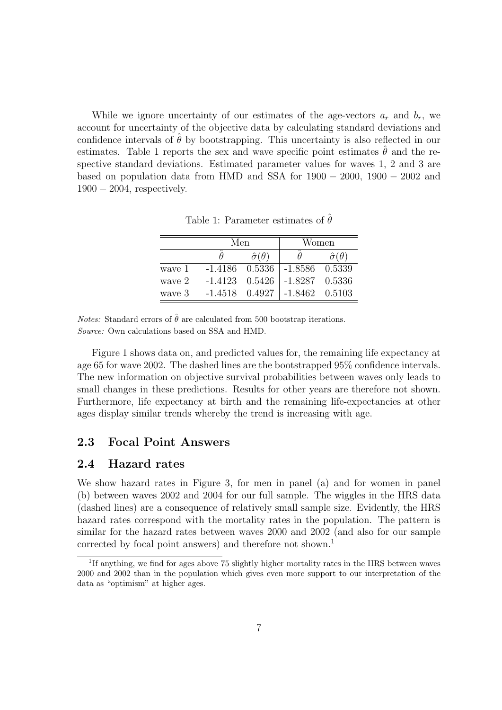While we ignore uncertainty of our estimates of the age-vectors  $a_r$  and  $b_r$ , we account for uncertainty of the objective data by calculating standard deviations and confidence intervals of  $\theta$  by bootstrapping. This uncertainty is also reflected in our estimates. Table 1 reports the sex and wave specific point estimates  $\theta$  and the respective standard deviations. Estimated parameter values for waves 1, 2 and 3 are based on population data from HMD and SSA for 1900 *−* 2000, 1900 *−* 2002 and 1900 *−* 2004, respectively.

|        | Men                |                        | Women            |                        |  |
|--------|--------------------|------------------------|------------------|------------------------|--|
|        |                    | $\hat{\sigma}(\theta)$ |                  | $\hat{\sigma}(\theta)$ |  |
| wave 1 | $-1.4186$ $0.5336$ |                        | $-1.8586$        | 0.5339                 |  |
| wave 2 | $-1.4123$ $0.5426$ |                        | $-1.8287$ 0.5336 |                        |  |
| wave 3 | $-1.4518$ 0.4927   |                        | $-1.8462$ 0.5103 |                        |  |

Table 1: Parameter estimates of  $\hat{\theta}$ 

*Notes:* Standard errors of  $\hat{\theta}$  are calculated from 500 bootstrap iterations. *Source:* Own calculations based on SSA and HMD.

Figure 1 shows data on, and predicted values for, the remaining life expectancy at age 65 for wave 2002. The dashed lines are the bootstrapped 95% confidence intervals. The new information on objective survival probabilities between waves only leads to small changes in these predictions. Results for other years are therefore not shown. Furthermore, life expectancy at birth and the remaining life-expectancies at other ages display similar trends whereby the trend is increasing with age.

#### **2.3 Focal Point Answers**

#### **2.4 Hazard rates**

We show hazard rates in Figure 3, for men in panel (a) and for women in panel (b) between waves 2002 and 2004 for our full sample. The wiggles in the HRS data (dashed lines) are a consequence of relatively small sample size. Evidently, the HRS hazard rates correspond with the mortality rates in the population. The pattern is similar for the hazard rates between waves 2000 and 2002 (and also for our sample corrected by focal point answers) and therefore not shown.<sup>1</sup>

<sup>&</sup>lt;sup>1</sup>If anything, we find for ages above 75 slightly higher mortality rates in the HRS between waves 2000 and 2002 than in the population which gives even more support to our interpretation of the data as "optimism" at higher ages.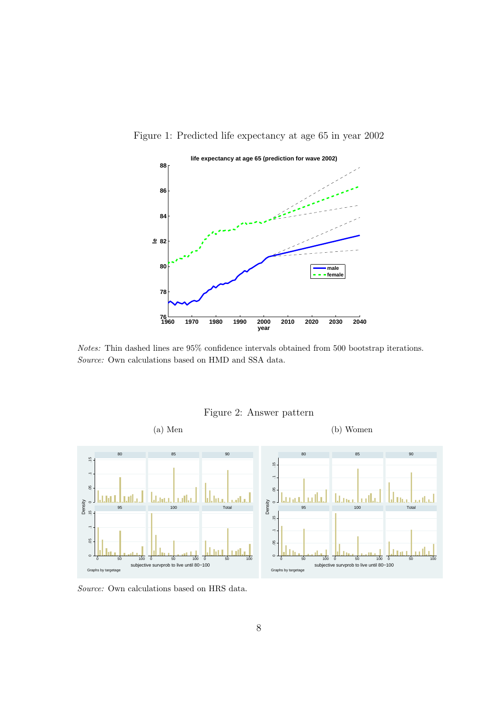

Figure 1: Predicted life expectancy at age 65 in year 2002

*Notes:* Thin dashed lines are 95% confidence intervals obtained from 500 bootstrap iterations. *Source:* Own calculations based on HMD and SSA data.



Figure 2: Answer pattern

*Source:* Own calculations based on HRS data.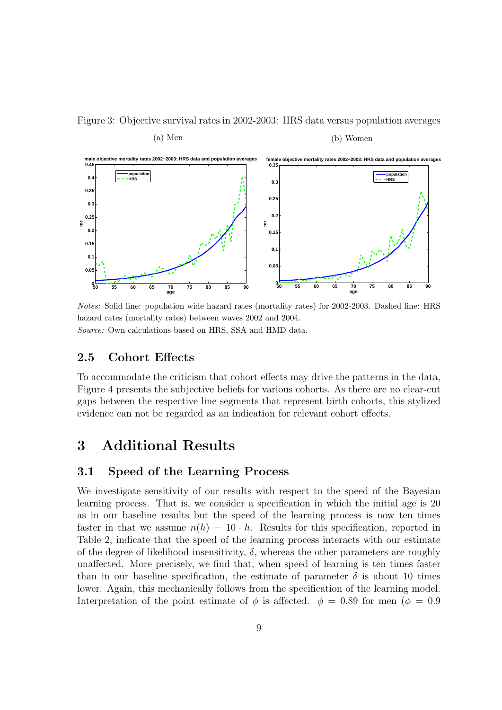#### Figure 3: Objective survival rates in 2002-2003: HRS data versus population averages



*Notes:* Solid line: population wide hazard rates (mortality rates) for 2002-2003. Dashed line: HRS hazard rates (mortality rates) between waves 2002 and 2004. *Source:* Own calculations based on HRS, SSA and HMD data.

#### **2.5 Cohort Effects**

To accommodate the criticism that cohort effects may drive the patterns in the data, Figure 4 presents the subjective beliefs for various cohorts. As there are no clear-cut gaps between the respective line segments that represent birth cohorts, this stylized evidence can not be regarded as an indication for relevant cohort effects.

### **3 Additional Results**

#### **3.1 Speed of the Learning Process**

We investigate sensitivity of our results with respect to the speed of the Bayesian learning process. That is, we consider a specification in which the initial age is 20 as in our baseline results but the speed of the learning process is now ten times faster in that we assume  $n(h) = 10 \cdot h$ . Results for this specification, reported in Table 2, indicate that the speed of the learning process interacts with our estimate of the degree of likelihood insensitivity,  $\delta$ , whereas the other parameters are roughly unaffected. More precisely, we find that, when speed of learning is ten times faster than in our baseline specification, the estimate of parameter  $\delta$  is about 10 times lower. Again, this mechanically follows from the specification of the learning model. Interpretation of the point estimate of  $\phi$  is affected.  $\phi = 0.89$  for men ( $\phi = 0.9$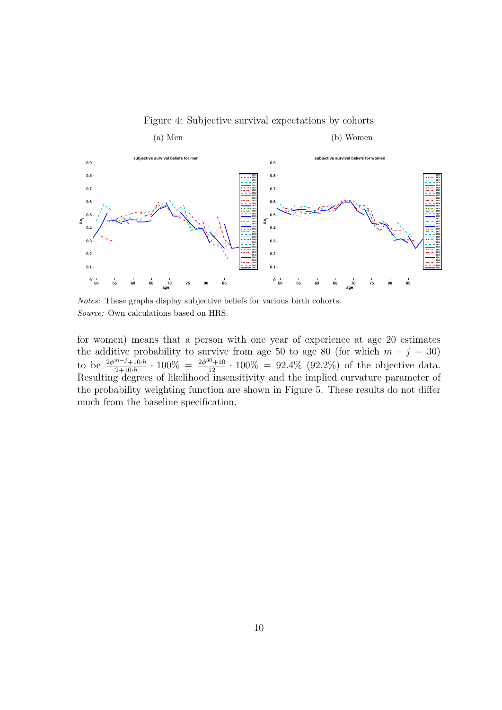

Figure 4: Subjective survival expectations by cohorts

*Notes:* These graphs display subjective beliefs for various birth cohorts. *Source:* Own calculations based on HRS.

for women) means that a person with one year of experience at age 20 estimates the additive probability to survive from age 50 to age 80 (for which  $m - j = 30$ ) to be  $\frac{2\phi^{m-j}+10\cdot h}{2+10\cdot h}\cdot 100\% = \frac{2\phi^{30}+10}{12}\cdot 100\% = 92.4\%$  (92.2%) of the objective data. Resulting degrees of likelihood insensitivity and the implied curvature parameter of the probability weighting function are shown in Figure 5. These results do not differ much from the baseline specification.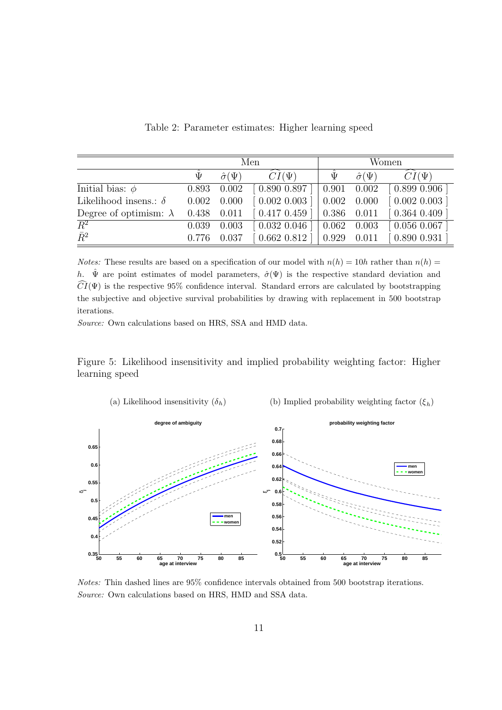|                               | Men   |                      |               | Women        |                      |                      |
|-------------------------------|-------|----------------------|---------------|--------------|----------------------|----------------------|
|                               | Ψ     | $\hat{\sigma}(\Psi)$ | $CI(\Psi)$    | $\bar{\Psi}$ | $\hat{\sigma}(\Psi)$ | $\widehat{CI}(\Psi)$ |
| Initial bias: $\phi$          | 0.893 | 0.002                | [0.890 0.897] | 0.901        | 0.002                | 0.8990.906           |
| Likelihood insens.: $\delta$  | 0.002 | 0.000                | [0.002 0.003] | 0.002        | 0.000                | [0.002 0.003]        |
| Degree of optimism: $\lambda$ | 0.438 | 0.011                | [0.417 0.459] | 0.386        | 0.011                | 0.3640.409           |
| $\overline{R^2}$              | 0.039 | 0.003                | [0.032 0.046] | 0.062        | 0.003                | $[0.056\ 0.067]$     |
| $\bar{R}^2$                   | 0.776 | 0.037                | [0.662 0.812] | 0.929        | 0.011                | 0.8900.931           |

Table 2: Parameter estimates: Higher learning speed

*Notes:* These results are based on a specification of our model with  $n(h) = 10h$  rather than  $n(h) =$ *h*.  $\hat{\Psi}$  are point estimates of model parameters,  $\hat{\sigma}(\Psi)$  is the respective standard deviation and  $\widehat{CI}(\Psi)$  is the respective 95% confidence interval. Standard errors are calculated by bootstrapping the subjective and objective survival probabilities by drawing with replacement in 500 bootstrap iterations.

*Source:* Own calculations based on HRS, SSA and HMD data.

Figure 5: Likelihood insensitivity and implied probability weighting factor: Higher learning speed



*Notes:* Thin dashed lines are 95% confidence intervals obtained from 500 bootstrap iterations. *Source:* Own calculations based on HRS, HMD and SSA data.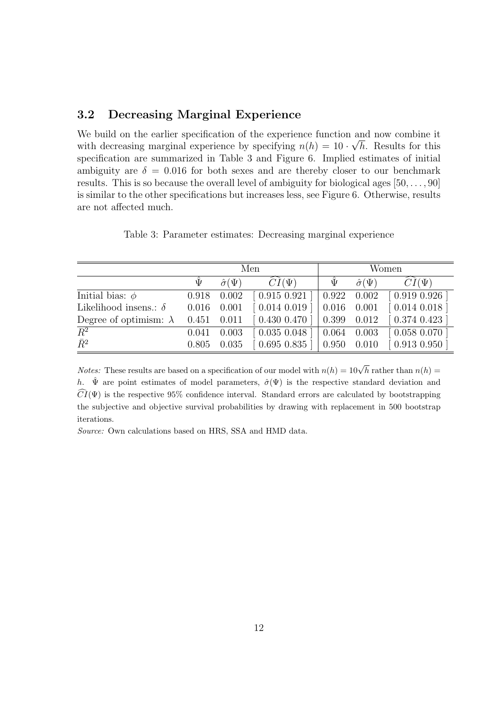#### **3.2 Decreasing Marginal Experience**

We build on the earlier specification of the experience function and now combine it *√* with decreasing marginal experience by specifying  $n(h) = 10 \cdot \sqrt{h}$ . Results for this specification are summarized in Table 3 and Figure 6. Implied estimates of initial ambiguity are  $\delta = 0.016$  for both sexes and are thereby closer to our benchmark results. This is so because the overall level of ambiguity for biological ages [50*, . . . ,* 90] is similar to the other specifications but increases less, see Figure 6. Otherwise, results are not affected much.

|                               | Men   |                      |                             | Women            |                      |                 |
|-------------------------------|-------|----------------------|-----------------------------|------------------|----------------------|-----------------|
|                               | Ψ     | $\hat{\sigma}(\Psi)$ | $CI(\Psi)$                  | $\widehat{\Psi}$ | $\hat{\sigma}(\Psi)$ | $CI(\Psi)$      |
| Initial bias: $\phi$          | 0.918 | 0.002                | [0.915 0.921]               | 0.922            | 0.002                | 0.9190.926      |
| Likelihood insens.: $\delta$  | 0.016 | 0.001                | $[0.014\ 0.019]$            | 0.016            | 0.001                | 0.014 0.018     |
| Degree of optimism: $\lambda$ | 0.451 | 0.011                | $[0.430\; 0.470\; ]$        | 0.399            | 0.012                | $0.374$ $0.423$ |
| $\overline{R^2}$              | 0.041 | 0.003                | $[0.035\ 0.048]$            | 0.064            | 0.003                | 0.0580.070      |
| $\bar{R}^2$                   | 0.805 | 0.035                | $\left[0.695\;0.835\right]$ | 0.950            | 0.010                | 0.913 0.950     |

Table 3: Parameter estimates: Decreasing marginal experience

*Notes:* These results are based on a specification of our model with  $n(h) = 10\sqrt{h}$  rather than  $n(h) =$ *h*.  $\hat{\Psi}$  are point estimates of model parameters,  $\hat{\sigma}(\Psi)$  is the respective standard deviation and  $\widehat{CI}(\Psi)$  is the respective 95% confidence interval. Standard errors are calculated by bootstrapping the subjective and objective survival probabilities by drawing with replacement in 500 bootstrap iterations.

*Source:* Own calculations based on HRS, SSA and HMD data.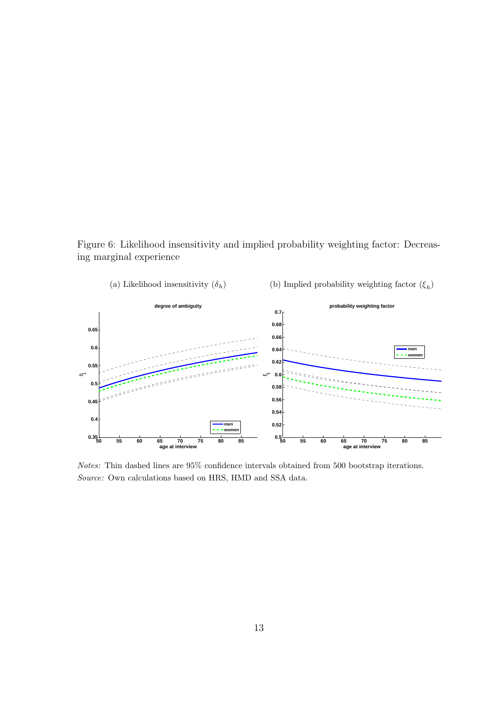Figure 6: Likelihood insensitivity and implied probability weighting factor: Decreasing marginal experience



*Notes:* Thin dashed lines are 95% confidence intervals obtained from 500 bootstrap iterations. *Source:* Own calculations based on HRS, HMD and SSA data.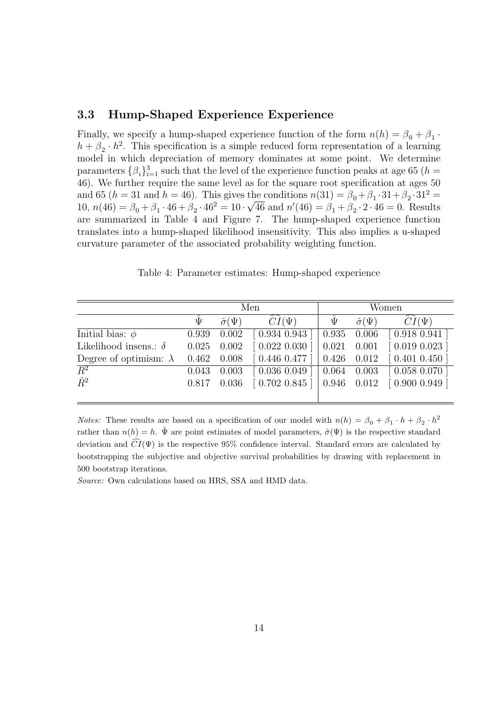#### **3.3 Hump-Shaped Experience Experience**

Finally, we specify a hump-shaped experience function of the form  $n(h) = \beta_0 + \beta_1$ .  $h + \beta_2 \cdot h^2$ . This specification is a simple reduced form representation of a learning model in which depreciation of memory dominates at some point. We determine parameters  $\{\beta_i\}_{i=1}^3$  such that the level of the experience function peaks at age 65 (*h* = 46). We further require the same level as for the square root specification at ages 50 and 65 (*h* = 31 and *h* = 46). This gives the conditions  $n(31) = \beta_0 + \beta_1 \cdot 31 + \beta_2 \cdot 31^2 =$ 10,  $n(46) = \beta_0 + \beta_1 \cdot 46 + \beta_2 \cdot 46^2 = 10 \cdot \sqrt{46}$  and  $n'(46) = \beta_1 + \beta_2 \cdot 2 \cdot 46 = 0$ . Results are summarized in Table 4 and Figure 7. The hump-shaped experience function translates into a hump-shaped likelihood insensitivity. This also implies a u-shaped curvature parameter of the associated probability weighting function.

|                               | Men          |                      |                   | Women |                      |                  |
|-------------------------------|--------------|----------------------|-------------------|-------|----------------------|------------------|
|                               | $\hat{\Psi}$ | $\hat{\sigma}(\Psi)$ | $CI(\Psi)$        | Ψ     | $\hat{\sigma}(\Psi)$ | $CI(\Psi)$       |
| Initial bias: $\phi$          | 0.939        | 0.002                | $[0.934\; 0.943]$ | 0.935 | 0.006                | $[0.918\ 0.941]$ |
| Likelihood insens.: $\delta$  | 0.025        | 0.002                | $[0.022\ 0.030]$  | 0.021 | 0.001                | [0.019 0.023]    |
| Degree of optimism: $\lambda$ | 0.462        | 0.008                | [0.446 0.477]     | 0.426 | 0.012                | [0.401 0.450]    |
| $\overline{R^2}$              | 0.043        | 0.003                | $[0.036\ 0.049]$  | 0.064 | 0.003                | [0.058 0.070]    |
| $\bar{R}^2$                   | 0.817        | 0.036                | $[0.702\; 0.845]$ |       | 0.946 0.012          | [0.900 0.949]    |
|                               |              |                      |                   |       |                      |                  |

Table 4: Parameter estimates: Hump-shaped experience

*Notes:* These results are based on a specification of our model with  $n(h) = \beta_0 + \beta_1 \cdot h + \beta_2 \cdot h^2$ rather than  $n(h) = h$ .  $\hat{\Psi}$  are point estimates of model parameters,  $\hat{\sigma}(\Psi)$  is the respective standard deviation and  $\widehat{CI}(\Psi)$  is the respective 95% confidence interval. Standard errors are calculated by bootstrapping the subjective and objective survival probabilities by drawing with replacement in 500 bootstrap iterations.

*Source:* Own calculations based on HRS, SSA and HMD data.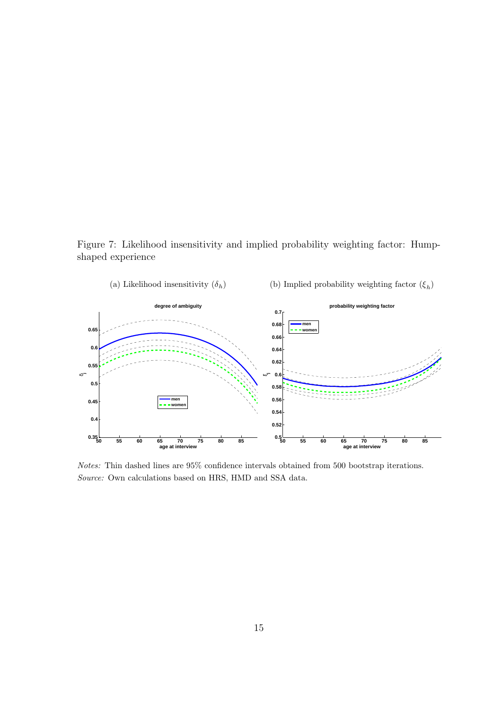Figure 7: Likelihood insensitivity and implied probability weighting factor: Humpshaped experience



*Notes:* Thin dashed lines are 95% confidence intervals obtained from 500 bootstrap iterations. *Source:* Own calculations based on HRS, HMD and SSA data.